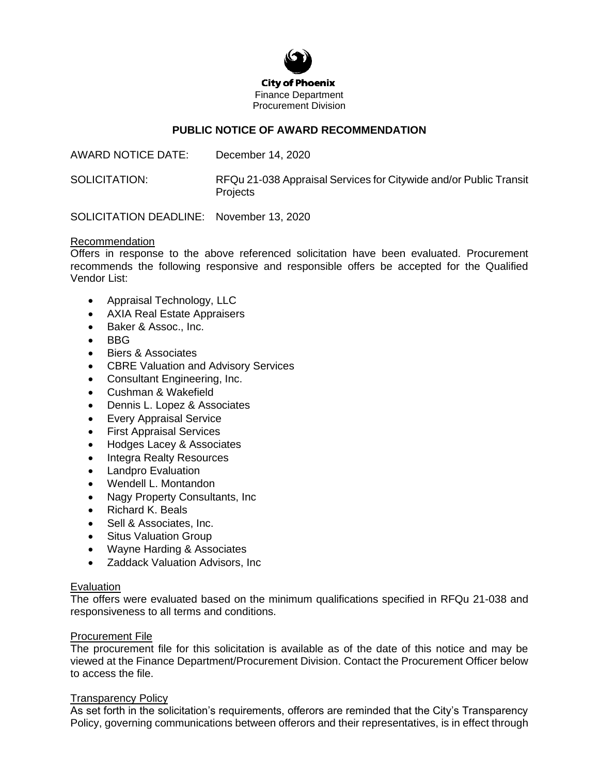

# **PUBLIC NOTICE OF AWARD RECOMMENDATION**

AWARD NOTICE DATE: December 14, 2020

SOLICITATION: RFQu 21-038 Appraisal Services for Citywide and/or Public Transit **Projects** 

SOLICITATION DEADLINE: November 13, 2020

## Recommendation

Offers in response to the above referenced solicitation have been evaluated. Procurement recommends the following responsive and responsible offers be accepted for the Qualified Vendor List:

- Appraisal Technology, LLC
- AXIA Real Estate Appraisers
- Baker & Assoc., Inc.
- BBG
- Biers & Associates
- CBRE Valuation and Advisory Services
- Consultant Engineering, Inc.
- Cushman & Wakefield
- Dennis L. Lopez & Associates
- Every Appraisal Service
- First Appraisal Services
- Hodges Lacey & Associates
- Integra Realty Resources
- Landpro Evaluation
- Wendell L. Montandon
- Nagy Property Consultants, Inc
- Richard K. Beals
- Sell & Associates, Inc.
- Situs Valuation Group
- Wayne Harding & Associates
- Zaddack Valuation Advisors, Inc

## Evaluation

The offers were evaluated based on the minimum qualifications specified in RFQu 21-038 and responsiveness to all terms and conditions.

## Procurement File

The procurement file for this solicitation is available as of the date of this notice and may be viewed at the Finance Department/Procurement Division. Contact the Procurement Officer below to access the file.

## **Transparency Policy**

As set forth in the solicitation's requirements, offerors are reminded that the City's Transparency Policy, governing communications between offerors and their representatives, is in effect through